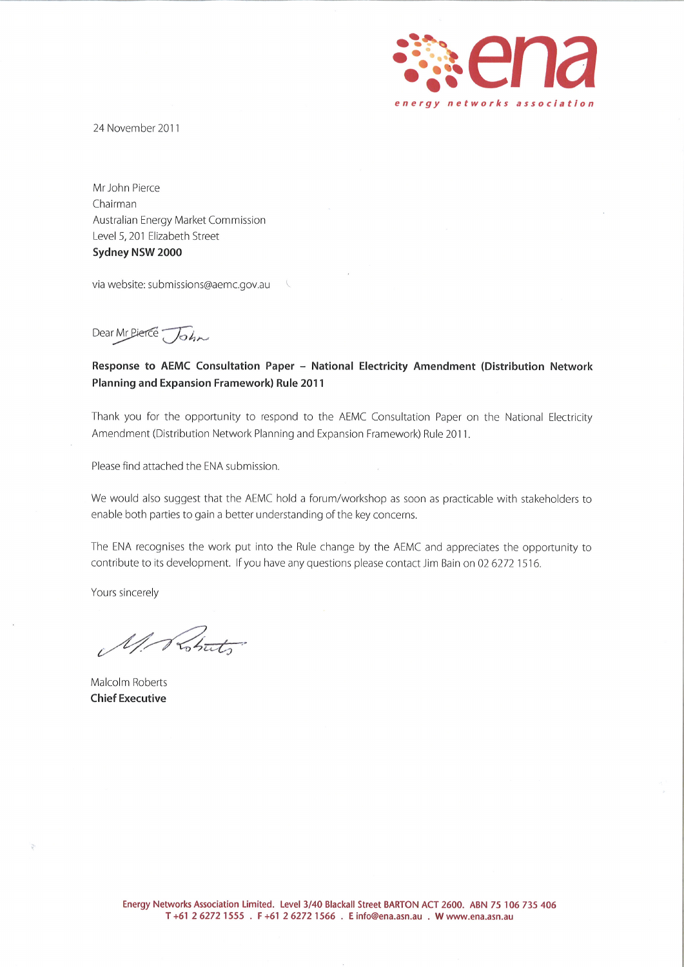

24 November 2011

Mr John Pierce Chairman Australian Energy Market Commission Level 5, 201 Elizabeth Street Sydney NSW 2000

via website: submissions@aemc.gov.au

Dear Mr Pierce John

Response to AEMC Consultation Paper - National Electricity Amendment (Distribution Network Planning and Expansion Framework) Rule 2011

Thank you for the opportunity to respond to the AEMC Consultation Paper on the National Electricity Amendment (Distribution Network Planning and Expansion Framework) Rule 2011.

Please find attached the ENA submission.

We would also suggest that the AEMC hold a forum/workshop as soon as practicable with stakeholders to enable both parties to gain a better understanding of the key concerns.

The ENA recognises the work put into the Rule change by the AEMC and appreciates the opportunity to contribute to its development. If you have any questions please contact Jim Bain on 02 6272 1516.

Yours sincerely

Mr Shut

Malcolm Roberts **Chief Executive**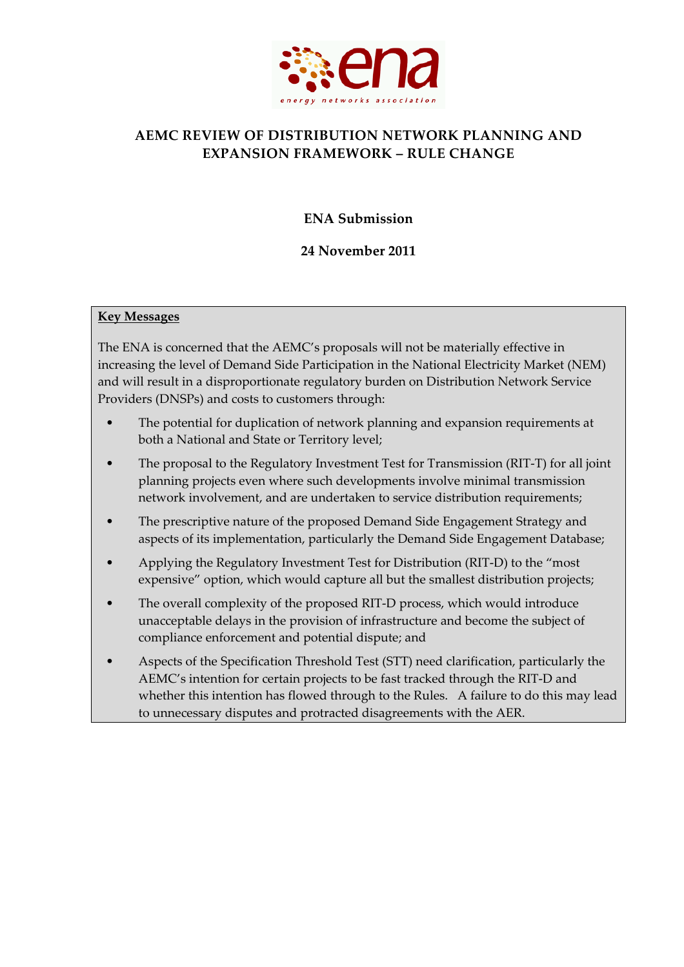

# **AEMC REVIEW OF DISTRIBUTION NETWORK PLANNING AND EXPANSION FRAMEWORK – RULE CHANGE**

**ENA Submission**

# **24 November 2011**

### **Key Messages**

The ENA is concerned that the AEMC's proposals will not be materially effective in increasing the level of Demand Side Participation in the National Electricity Market (NEM) and will result in a disproportionate regulatory burden on Distribution Network Service Providers (DNSPs) and costs to customers through:

- The potential for duplication of network planning and expansion requirements at both a National and State or Territory level;
- The proposal to the Regulatory Investment Test for Transmission (RIT‐T) for all joint planning projects even where such developments involve minimal transmission network involvement, and are undertaken to service distribution requirements;
- The prescriptive nature of the proposed Demand Side Engagement Strategy and aspects of its implementation, particularly the Demand Side Engagement Database;
- Applying the Regulatory Investment Test for Distribution (RIT‐D) to the "most expensive" option, which would capture all but the smallest distribution projects;
- The overall complexity of the proposed RIT-D process, which would introduce unacceptable delays in the provision of infrastructure and become the subject of compliance enforcement and potential dispute; and
- Aspects of the Specification Threshold Test (STT) need clarification, particularly the AEMC's intention for certain projects to be fast tracked through the RIT‐D and whether this intention has flowed through to the Rules. A failure to do this may lead to unnecessary disputes and protracted disagreements with the AER.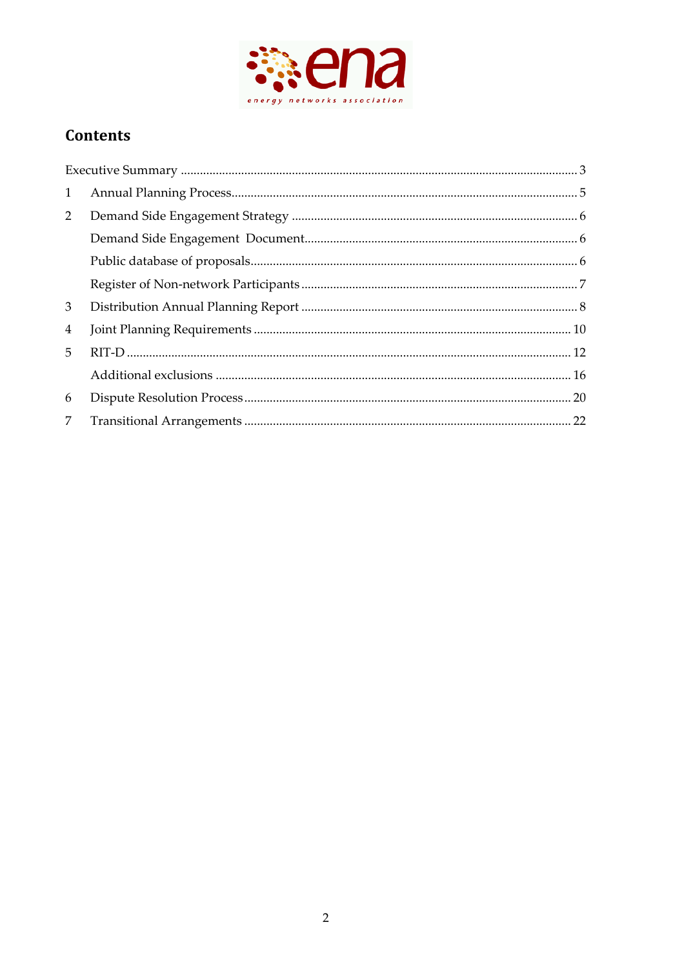

# **Contents**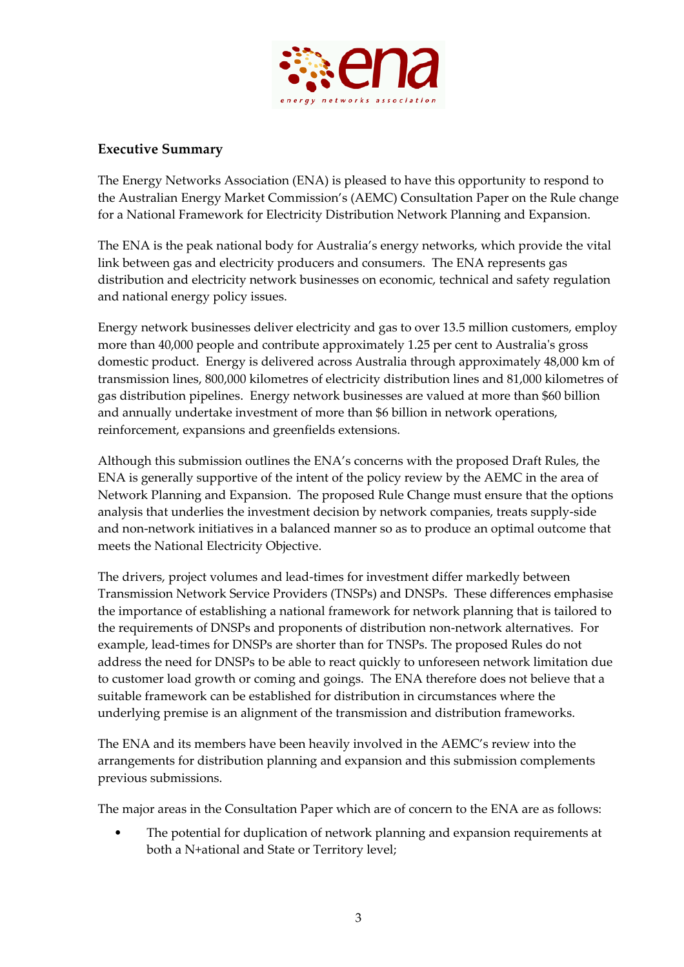

# **Executive Summary**

The Energy Networks Association (ENA) is pleased to have this opportunity to respond to the Australian Energy Market Commission's (AEMC) Consultation Paper on the Rule change for a National Framework for Electricity Distribution Network Planning and Expansion.

The ENA is the peak national body for Australia's energy networks, which provide the vital link between gas and electricity producers and consumers. The ENA represents gas distribution and electricity network businesses on economic, technical and safety regulation and national energy policy issues.

Energy network businesses deliver electricity and gas to over 13.5 million customers, employ more than 40,000 people and contribute approximately 1.25 per cent to Australia's gross domestic product. Energy is delivered across Australia through approximately 48,000 km of transmission lines, 800,000 kilometres of electricity distribution lines and 81,000 kilometres of gas distribution pipelines. Energy network businesses are valued at more than \$60 billion and annually undertake investment of more than \$6 billion in network operations, reinforcement, expansions and greenfields extensions.

Although this submission outlines the ENA's concerns with the proposed Draft Rules, the ENA is generally supportive of the intent of the policy review by the AEMC in the area of Network Planning and Expansion. The proposed Rule Change must ensure that the options analysis that underlies the investment decision by network companies, treats supply‐side and non‐network initiatives in a balanced manner so as to produce an optimal outcome that meets the National Electricity Objective.

The drivers, project volumes and lead‐times for investment differ markedly between Transmission Network Service Providers (TNSPs) and DNSPs. These differences emphasise the importance of establishing a national framework for network planning that is tailored to the requirements of DNSPs and proponents of distribution non‐network alternatives. For example, lead-times for DNSPs are shorter than for TNSPs. The proposed Rules do not address the need for DNSPs to be able to react quickly to unforeseen network limitation due to customer load growth or coming and goings. The ENA therefore does not believe that a suitable framework can be established for distribution in circumstances where the underlying premise is an alignment of the transmission and distribution frameworks.

The ENA and its members have been heavily involved in the AEMC's review into the arrangements for distribution planning and expansion and this submission complements previous submissions.

The major areas in the Consultation Paper which are of concern to the ENA are as follows:

The potential for duplication of network planning and expansion requirements at both a N+ational and State or Territory level;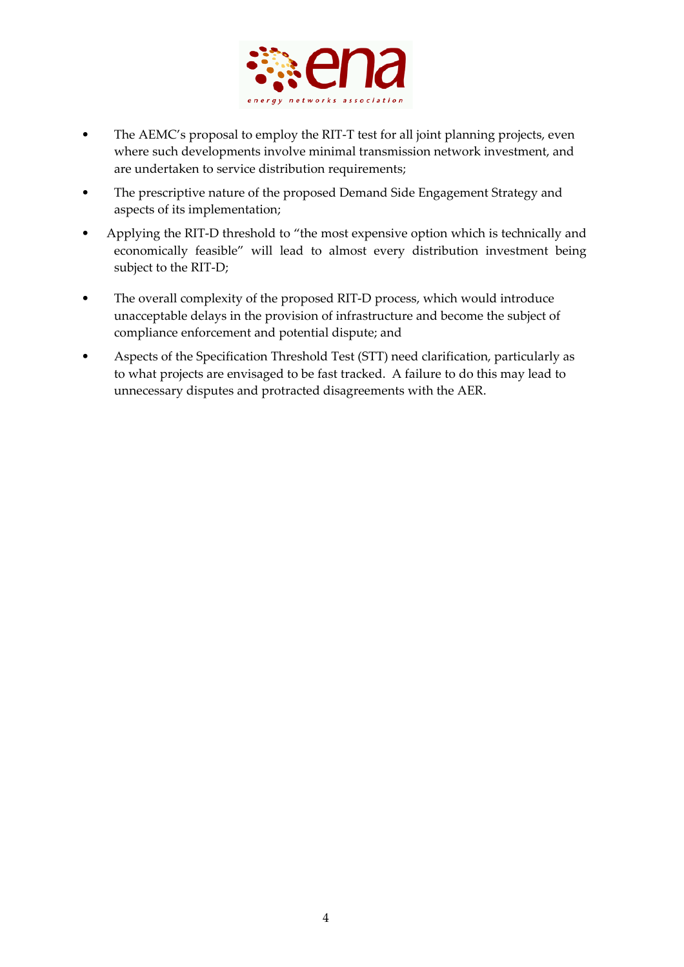

- The AEMC's proposal to employ the RIT-T test for all joint planning projects, even where such developments involve minimal transmission network investment, and are undertaken to service distribution requirements;
- The prescriptive nature of the proposed Demand Side Engagement Strategy and aspects of its implementation;
- Applying the RIT-D threshold to "the most expensive option which is technically and economically feasible" will lead to almost every distribution investment being subject to the RIT‐D;
- The overall complexity of the proposed RIT-D process, which would introduce unacceptable delays in the provision of infrastructure and become the subject of compliance enforcement and potential dispute; and
- Aspects of the Specification Threshold Test (STT) need clarification, particularly as to what projects are envisaged to be fast tracked. A failure to do this may lead to unnecessary disputes and protracted disagreements with the AER.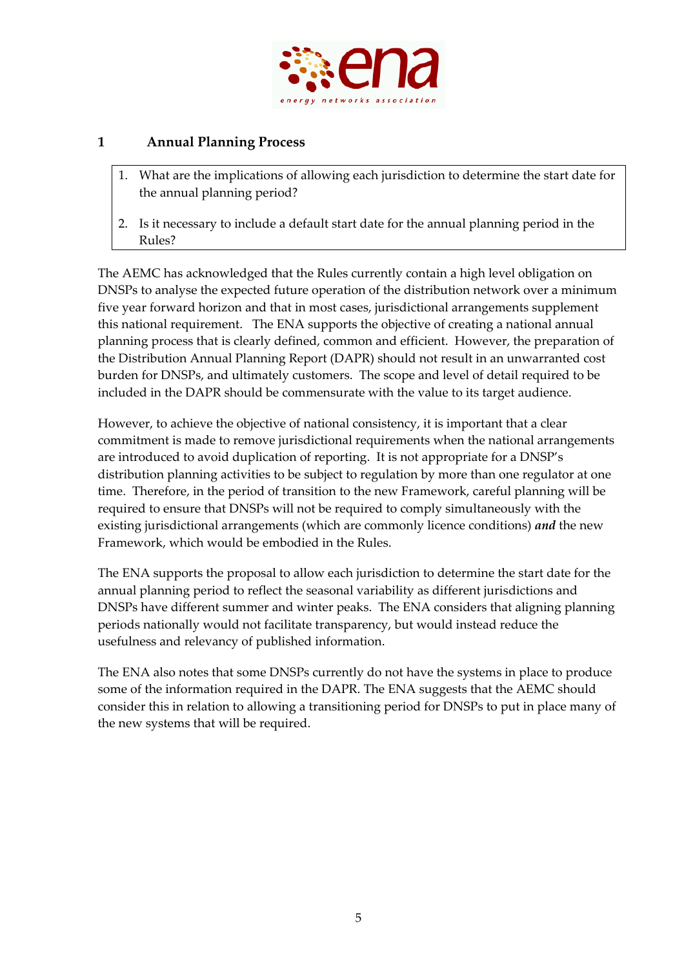

# **1 Annual Planning Process**

- 1. What are the implications of allowing each jurisdiction to determine the start date for the annual planning period?
- 2. Is it necessary to include a default start date for the annual planning period in the Rules?

The AEMC has acknowledged that the Rules currently contain a high level obligation on DNSPs to analyse the expected future operation of the distribution network over a minimum five year forward horizon and that in most cases, jurisdictional arrangements supplement this national requirement. The ENA supports the objective of creating a national annual planning process that is clearly defined, common and efficient. However, the preparation of the Distribution Annual Planning Report (DAPR) should not result in an unwarranted cost burden for DNSPs, and ultimately customers. The scope and level of detail required to be included in the DAPR should be commensurate with the value to its target audience.

However, to achieve the objective of national consistency, it is important that a clear commitment is made to remove jurisdictional requirements when the national arrangements are introduced to avoid duplication of reporting. It is not appropriate for a DNSP's distribution planning activities to be subject to regulation by more than one regulator at one time. Therefore, in the period of transition to the new Framework, careful planning will be required to ensure that DNSPs will not be required to comply simultaneously with the existing jurisdictional arrangements (which are commonly licence conditions) *and* the new Framework, which would be embodied in the Rules.

The ENA supports the proposal to allow each jurisdiction to determine the start date for the annual planning period to reflect the seasonal variability as different jurisdictions and DNSPs have different summer and winter peaks. The ENA considers that aligning planning periods nationally would not facilitate transparency, but would instead reduce the usefulness and relevancy of published information.

The ENA also notes that some DNSPs currently do not have the systems in place to produce some of the information required in the DAPR. The ENA suggests that the AEMC should consider this in relation to allowing a transitioning period for DNSPs to put in place many of the new systems that will be required.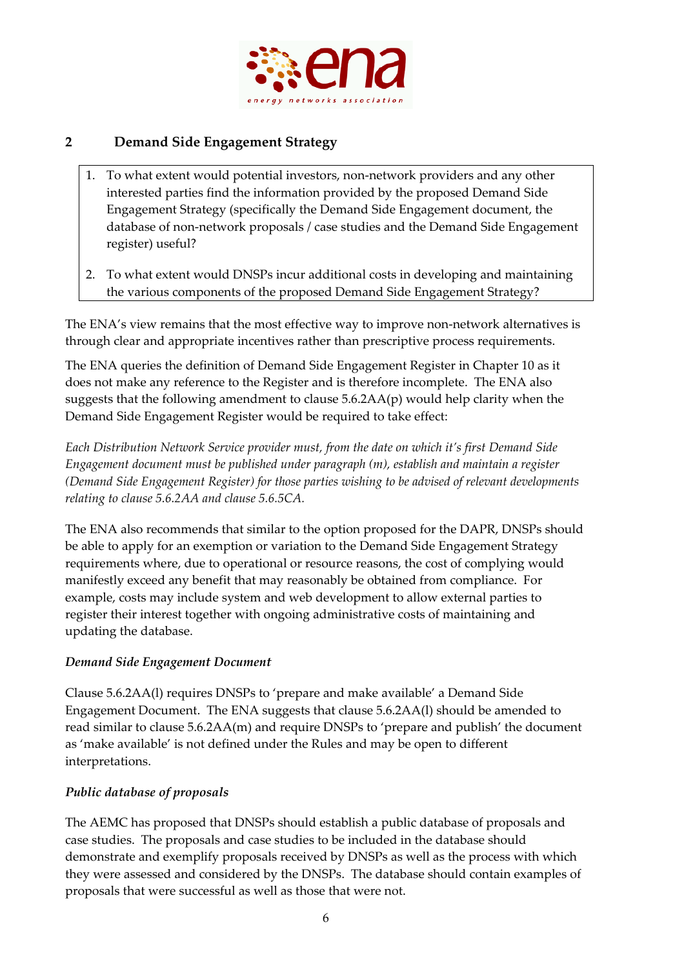

# **2 Demand Side Engagement Strategy**

- 1. To what extent would potential investors, non‐network providers and any other interested parties find the information provided by the proposed Demand Side Engagement Strategy (specifically the Demand Side Engagement document, the database of non‐network proposals / case studies and the Demand Side Engagement register) useful?
- 2. To what extent would DNSPs incur additional costs in developing and maintaining the various components of the proposed Demand Side Engagement Strategy?

The ENA's view remains that the most effective way to improve non-network alternatives is through clear and appropriate incentives rather than prescriptive process requirements.

The ENA queries the definition of Demand Side Engagement Register in Chapter 10 as it does not make any reference to the Register and is therefore incomplete. The ENA also suggests that the following amendment to clause 5.6.2AA(p) would help clarity when the Demand Side Engagement Register would be required to take effect:

*Each Distribution Network Service provider must, from the date on which it's first Demand Side Engagement document must be published under paragraph (m), establish and maintain a register (Demand Side Engagement Register) for those parties wishing to be advised of relevant developments relating to clause 5.6.2AA and clause 5.6.5CA.*

The ENA also recommends that similar to the option proposed for the DAPR, DNSPs should be able to apply for an exemption or variation to the Demand Side Engagement Strategy requirements where, due to operational or resource reasons, the cost of complying would manifestly exceed any benefit that may reasonably be obtained from compliance. For example, costs may include system and web development to allow external parties to register their interest together with ongoing administrative costs of maintaining and updating the database.

# *Demand Side Engagement Document*

Clause 5.6.2AA(l) requires DNSPs to 'prepare and make available' a Demand Side Engagement Document. The ENA suggests that clause 5.6.2AA(l) should be amended to read similar to clause 5.6.2AA(m) and require DNSPs to 'prepare and publish' the document as 'make available' is not defined under the Rules and may be open to different interpretations.

# *Public database of proposals*

The AEMC has proposed that DNSPs should establish a public database of proposals and case studies. The proposals and case studies to be included in the database should demonstrate and exemplify proposals received by DNSPs as well as the process with which they were assessed and considered by the DNSPs. The database should contain examples of proposals that were successful as well as those that were not.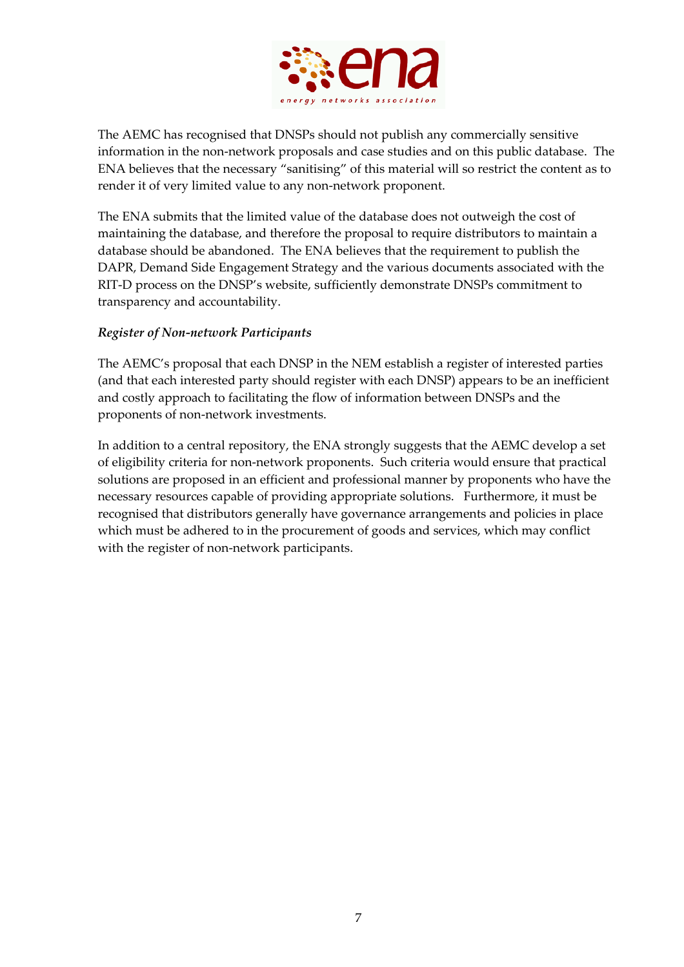

The AEMC has recognised that DNSPs should not publish any commercially sensitive information in the non‐network proposals and case studies and on this public database. The ENA believes that the necessary "sanitising" of this material will so restrict the content as to render it of very limited value to any non‐network proponent.

The ENA submits that the limited value of the database does not outweigh the cost of maintaining the database, and therefore the proposal to require distributors to maintain a database should be abandoned. The ENA believes that the requirement to publish the DAPR, Demand Side Engagement Strategy and the various documents associated with the RIT‐D process on the DNSP's website, sufficiently demonstrate DNSPs commitment to transparency and accountability.

# *Register of Non‐network Participants*

The AEMC's proposal that each DNSP in the NEM establish a register of interested parties (and that each interested party should register with each DNSP) appears to be an inefficient and costly approach to facilitating the flow of information between DNSPs and the proponents of non‐network investments.

In addition to a central repository, the ENA strongly suggests that the AEMC develop a set of eligibility criteria for non‐network proponents. Such criteria would ensure that practical solutions are proposed in an efficient and professional manner by proponents who have the necessary resources capable of providing appropriate solutions. Furthermore, it must be recognised that distributors generally have governance arrangements and policies in place which must be adhered to in the procurement of goods and services, which may conflict with the register of non-network participants.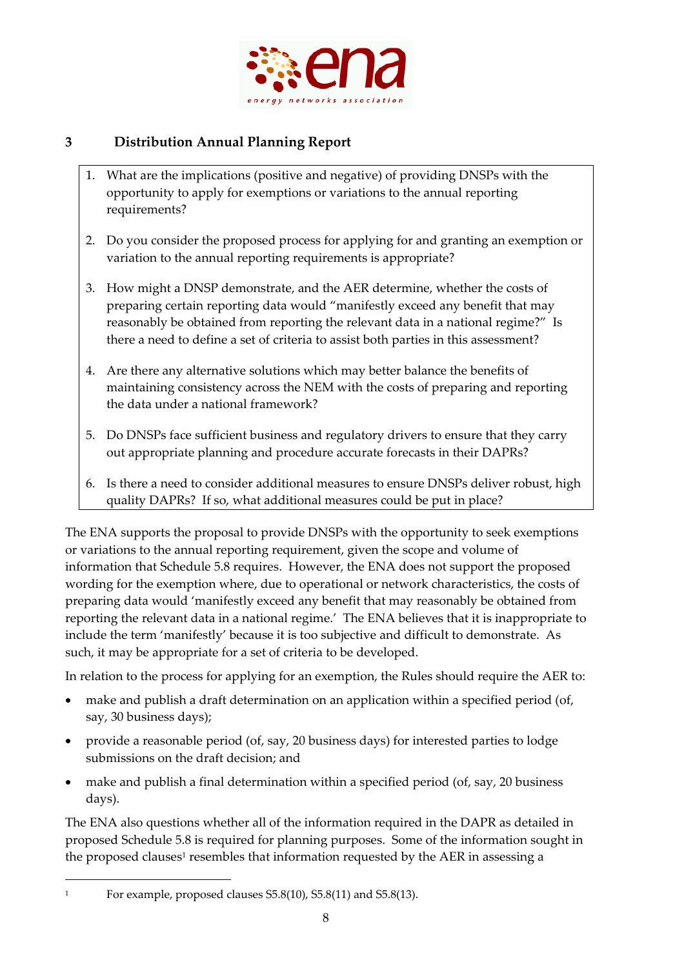

# **3 Distribution Annual Planning Report**

- 1. What are the implications (positive and negative) of providing DNSPs with the opportunity to apply for exemptions or variations to the annual reporting requirements?
- 2. Do you consider the proposed process for applying for and granting an exemption or variation to the annual reporting requirements is appropriate?
- 3. How might a DNSP demonstrate, and the AER determine, whether the costs of preparing certain reporting data would "manifestly exceed any benefit that may reasonably be obtained from reporting the relevant data in a national regime?" Is there a need to define a set of criteria to assist both parties in this assessment?
- 4. Are there any alternative solutions which may better balance the benefits of maintaining consistency across the NEM with the costs of preparing and reporting the data under a national framework?
- 5. Do DNSPs face sufficient business and regulatory drivers to ensure that they carry out appropriate planning and procedure accurate forecasts in their DAPRs?
- 6. Is there a need to consider additional measures to ensure DNSPs deliver robust, high quality DAPRs? If so, what additional measures could be put in place?

The ENA supports the proposal to provide DNSPs with the opportunity to seek exemptions or variations to the annual reporting requirement, given the scope and volume of information that Schedule 5.8 requires. However, the ENA does not support the proposed wording for the exemption where, due to operational or network characteristics, the costs of preparing data would 'manifestly exceed any benefit that may reasonably be obtained from reporting the relevant data in a national regime.' The ENA believes that it is inappropriate to include the term 'manifestly' because it is too subjective and difficult to demonstrate. As such, it may be appropriate for a set of criteria to be developed.

In relation to the process for applying for an exemption, the Rules should require the AER to:

- make and publish a draft determination on an application within a specified period (of, say, 30 business days);
- provide a reasonable period (of, say, 20 business days) for interested parties to lodge submissions on the draft decision; and
- make and publish a final determination within a specified period (of, say, 20 business days).

The ENA also questions whether all of the information required in the DAPR as detailed in proposed Schedule 5.8 is required for planning purposes. Some of the information sought in the proposed clauses<sup>1</sup> resembles that information requested by the AER in assessing a

<u> 1989 - Johann Barn, mars ar breithinn ar chuid ann an t-</u>

<sup>&</sup>lt;sup>1</sup> For example, proposed clauses S5.8(10), S5.8(11) and S5.8(13).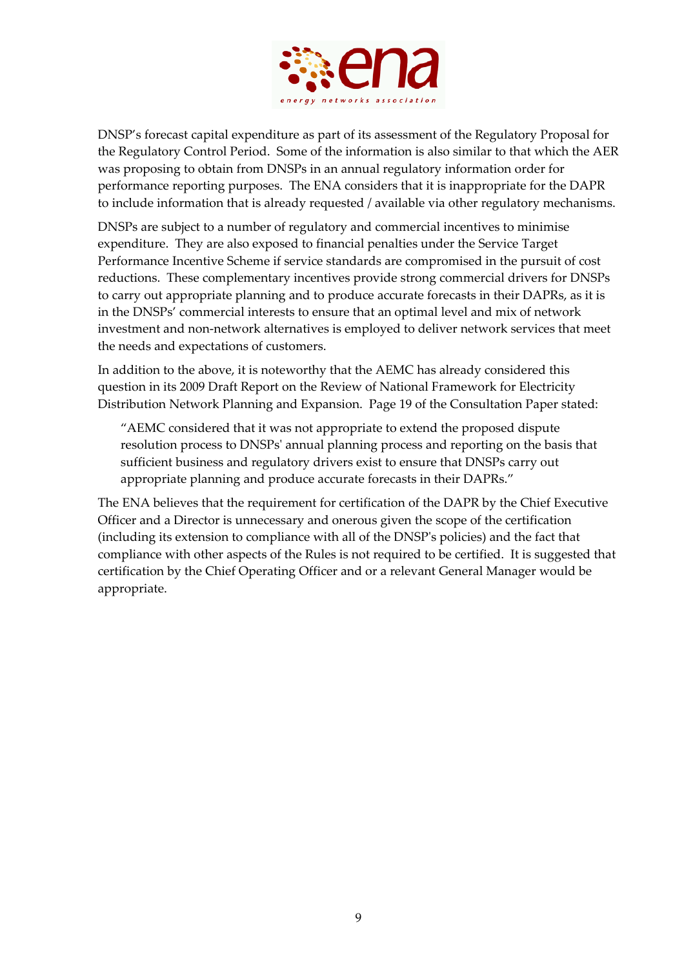

DNSP's forecast capital expenditure as part of its assessment of the Regulatory Proposal for the Regulatory Control Period. Some of the information is also similar to that which the AER was proposing to obtain from DNSPs in an annual regulatory information order for performance reporting purposes. The ENA considers that it is inappropriate for the DAPR to include information that is already requested / available via other regulatory mechanisms.

DNSPs are subject to a number of regulatory and commercial incentives to minimise expenditure. They are also exposed to financial penalties under the Service Target Performance Incentive Scheme if service standards are compromised in the pursuit of cost reductions. These complementary incentives provide strong commercial drivers for DNSPs to carry out appropriate planning and to produce accurate forecasts in their DAPRs, as it is in the DNSPs' commercial interests to ensure that an optimal level and mix of network investment and non‐network alternatives is employed to deliver network services that meet the needs and expectations of customers.

In addition to the above, it is noteworthy that the AEMC has already considered this question in its 2009 Draft Report on the Review of National Framework for Electricity Distribution Network Planning and Expansion. Page 19 of the Consultation Paper stated:

"AEMC considered that it was not appropriate to extend the proposed dispute resolution process to DNSPsʹ annual planning process and reporting on the basis that sufficient business and regulatory drivers exist to ensure that DNSPs carry out appropriate planning and produce accurate forecasts in their DAPRs."

The ENA believes that the requirement for certification of the DAPR by the Chief Executive Officer and a Director is unnecessary and onerous given the scope of the certification (including its extension to compliance with all of the DNSPʹs policies) and the fact that compliance with other aspects of the Rules is not required to be certified. It is suggested that certification by the Chief Operating Officer and or a relevant General Manager would be appropriate.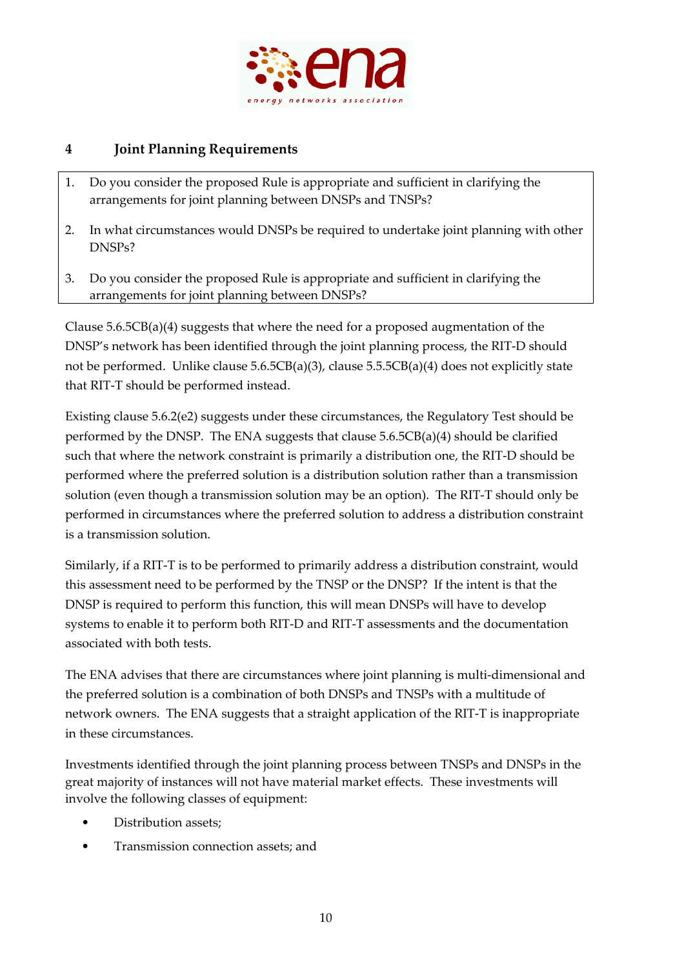

# **4 Joint Planning Requirements**

- 1. Do you consider the proposed Rule is appropriate and sufficient in clarifying the arrangements for joint planning between DNSPs and TNSPs?
- 2. In what circumstances would DNSPs be required to undertake joint planning with other DNSPs?
- 3. Do you consider the proposed Rule is appropriate and sufficient in clarifying the arrangements for joint planning between DNSPs?

Clause 5.6.5CB(a)(4) suggests that where the need for a proposed augmentation of the DNSP's network has been identified through the joint planning process, the RIT‐D should not be performed. Unlike clause 5.6.5CB(a)(3), clause 5.5.5CB(a)(4) does not explicitly state that RIT‐T should be performed instead.

Existing clause 5.6.2(e2) suggests under these circumstances, the Regulatory Test should be performed by the DNSP. The ENA suggests that clause 5.6.5CB(a)(4) should be clarified such that where the network constraint is primarily a distribution one, the RIT‐D should be performed where the preferred solution is a distribution solution rather than a transmission solution (even though a transmission solution may be an option). The RIT‐T should only be performed in circumstances where the preferred solution to address a distribution constraint is a transmission solution.

Similarly, if a RIT‐T is to be performed to primarily address a distribution constraint, would this assessment need to be performed by the TNSP or the DNSP? If the intent is that the DNSP is required to perform this function, this will mean DNSPs will have to develop systems to enable it to perform both RIT‐D and RIT‐T assessments and the documentation associated with both tests.

The ENA advises that there are circumstances where joint planning is multi-dimensional and the preferred solution is a combination of both DNSPs and TNSPs with a multitude of network owners. The ENA suggests that a straight application of the RIT‐T is inappropriate in these circumstances.

Investments identified through the joint planning process between TNSPs and DNSPs in the great majority of instances will not have material market effects. These investments will involve the following classes of equipment:

- Distribution assets;
- Transmission connection assets; and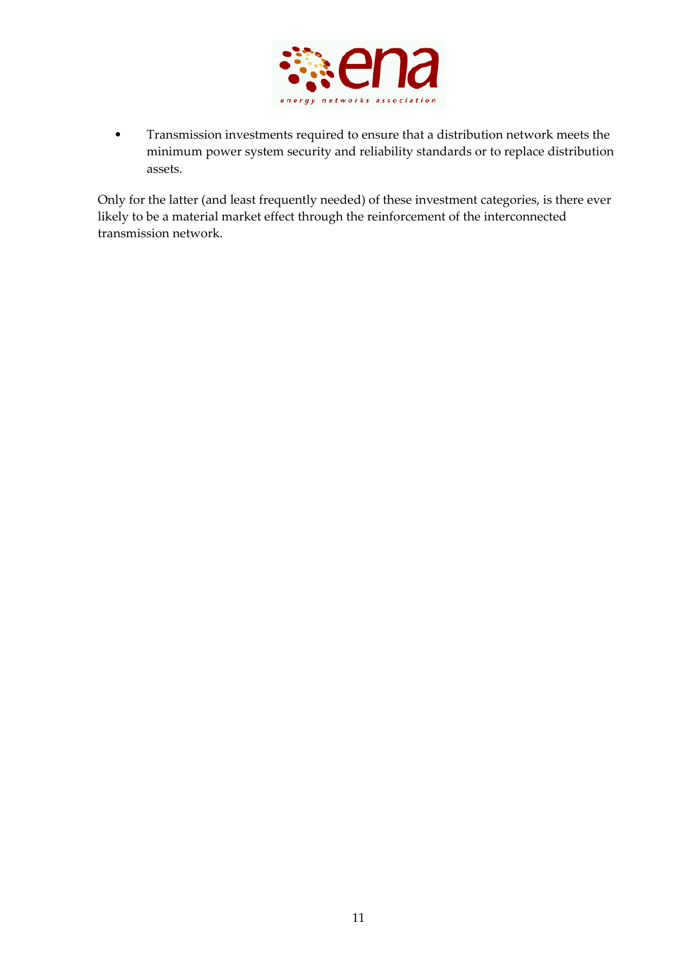

• Transmission investments required to ensure that a distribution network meets the minimum power system security and reliability standards or to replace distribution assets.

Only for the latter (and least frequently needed) of these investment categories, is there ever likely to be a material market effect through the reinforcement of the interconnected transmission network.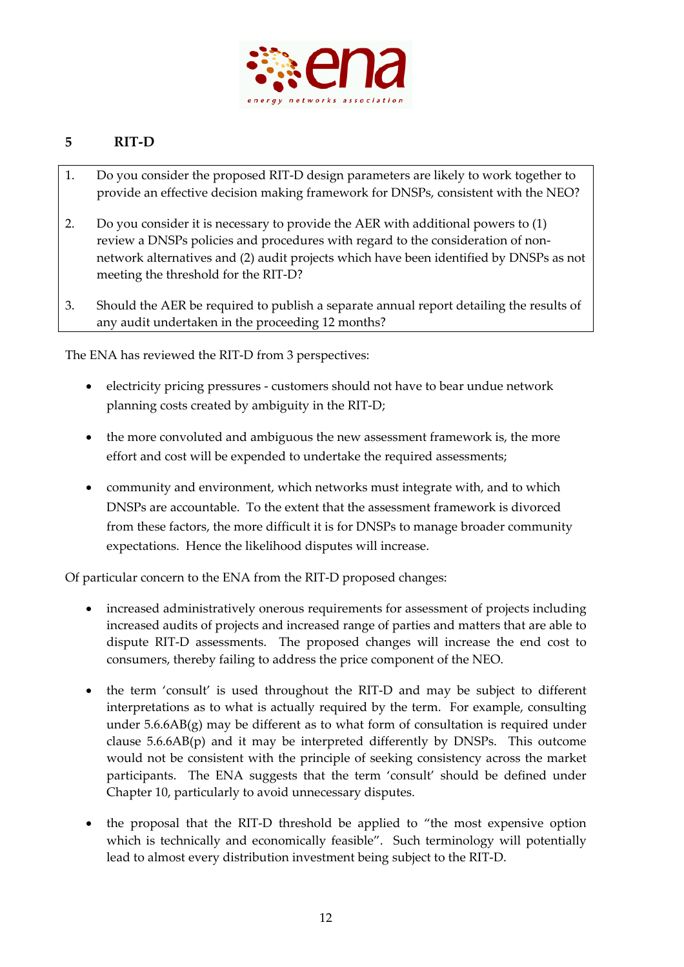

# **5 RIT‐D**

- 1. Do you consider the proposed RIT‐D design parameters are likely to work together to provide an effective decision making framework for DNSPs, consistent with the NEO?
- 2. Do you consider it is necessary to provide the AER with additional powers to (1) review a DNSPs policies and procedures with regard to the consideration of non‐ network alternatives and (2) audit projects which have been identified by DNSPs as not meeting the threshold for the RIT‐D?
- 3. Should the AER be required to publish a separate annual report detailing the results of any audit undertaken in the proceeding 12 months?

The ENA has reviewed the RIT-D from 3 perspectives:

- electricity pricing pressures ‐ customers should not have to bear undue network planning costs created by ambiguity in the RIT‐D;
- the more convoluted and ambiguous the new assessment framework is, the more effort and cost will be expended to undertake the required assessments;
- community and environment, which networks must integrate with, and to which DNSPs are accountable. To the extent that the assessment framework is divorced from these factors, the more difficult it is for DNSPs to manage broader community expectations. Hence the likelihood disputes will increase.

Of particular concern to the ENA from the RIT‐D proposed changes:

- increased administratively onerous requirements for assessment of projects including increased audits of projects and increased range of parties and matters that are able to dispute RIT‐D assessments. The proposed changes will increase the end cost to consumers, thereby failing to address the price component of the NEO.
- the term 'consult' is used throughout the RIT-D and may be subject to different interpretations as to what is actually required by the term. For example, consulting under  $5.6.6AB(g)$  may be different as to what form of consultation is required under clause  $5.6.6AB(p)$  and it may be interpreted differently by DNSPs. This outcome would not be consistent with the principle of seeking consistency across the market participants. The ENA suggests that the term 'consult' should be defined under Chapter 10, particularly to avoid unnecessary disputes.
- the proposal that the RIT-D threshold be applied to "the most expensive option which is technically and economically feasible". Such terminology will potentially lead to almost every distribution investment being subject to the RIT‐D.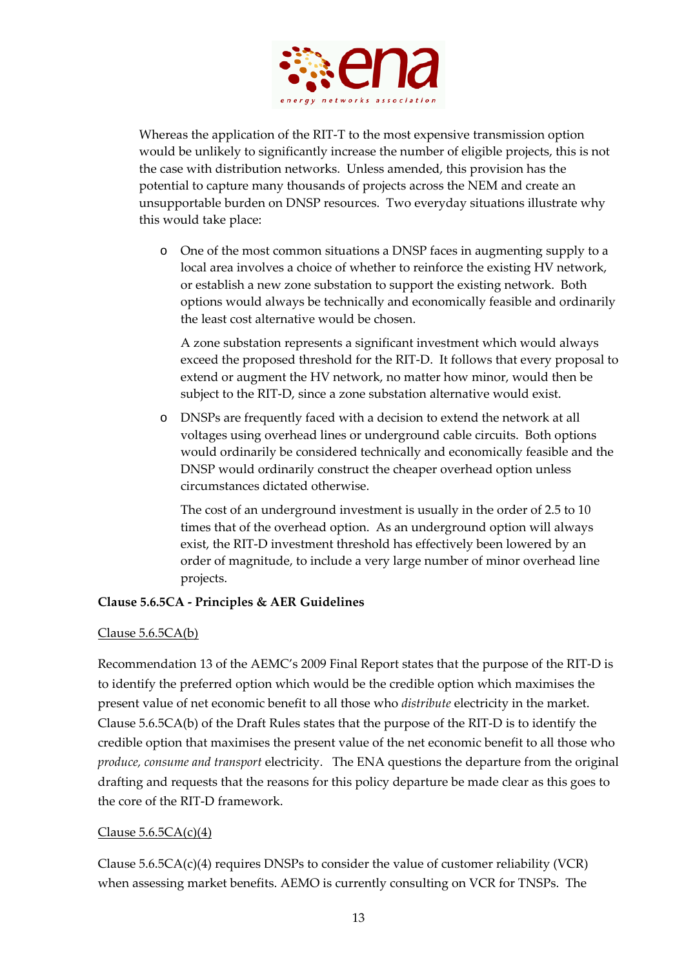

Whereas the application of the RIT‐T to the most expensive transmission option would be unlikely to significantly increase the number of eligible projects, this is not the case with distribution networks. Unless amended, this provision has the potential to capture many thousands of projects across the NEM and create an unsupportable burden on DNSP resources. Two everyday situations illustrate why this would take place:

o One of the most common situations a DNSP faces in augmenting supply to a local area involves a choice of whether to reinforce the existing HV network, or establish a new zone substation to support the existing network. Both options would always be technically and economically feasible and ordinarily the least cost alternative would be chosen.

A zone substation represents a significant investment which would always exceed the proposed threshold for the RIT‐D. It follows that every proposal to extend or augment the HV network, no matter how minor, would then be subject to the RIT-D, since a zone substation alternative would exist.

o DNSPs are frequently faced with a decision to extend the network at all voltages using overhead lines or underground cable circuits. Both options would ordinarily be considered technically and economically feasible and the DNSP would ordinarily construct the cheaper overhead option unless circumstances dictated otherwise.

The cost of an underground investment is usually in the order of 2.5 to 10 times that of the overhead option. As an underground option will always exist, the RIT‐D investment threshold has effectively been lowered by an order of magnitude, to include a very large number of minor overhead line projects.

# **Clause 5.6.5CA ‐ Principles & AER Guidelines**

# Clause 5.6.5CA(b)

Recommendation 13 of the AEMC's 2009 Final Report states that the purpose of the RIT‐D is to identify the preferred option which would be the credible option which maximises the present value of net economic benefit to all those who *distribute* electricity in the market. Clause 5.6.5CA(b) of the Draft Rules states that the purpose of the RIT‐D is to identify the credible option that maximises the present value of the net economic benefit to all those who *produce, consume and transport* electricity. The ENA questions the departure from the original drafting and requests that the reasons for this policy departure be made clear as this goes to the core of the RIT‐D framework.

# Clause  $5.6.5CA(c)(4)$

Clause  $5.6.5CA(c)(4)$  requires DNSPs to consider the value of customer reliability (VCR) when assessing market benefits. AEMO is currently consulting on VCR for TNSPs. The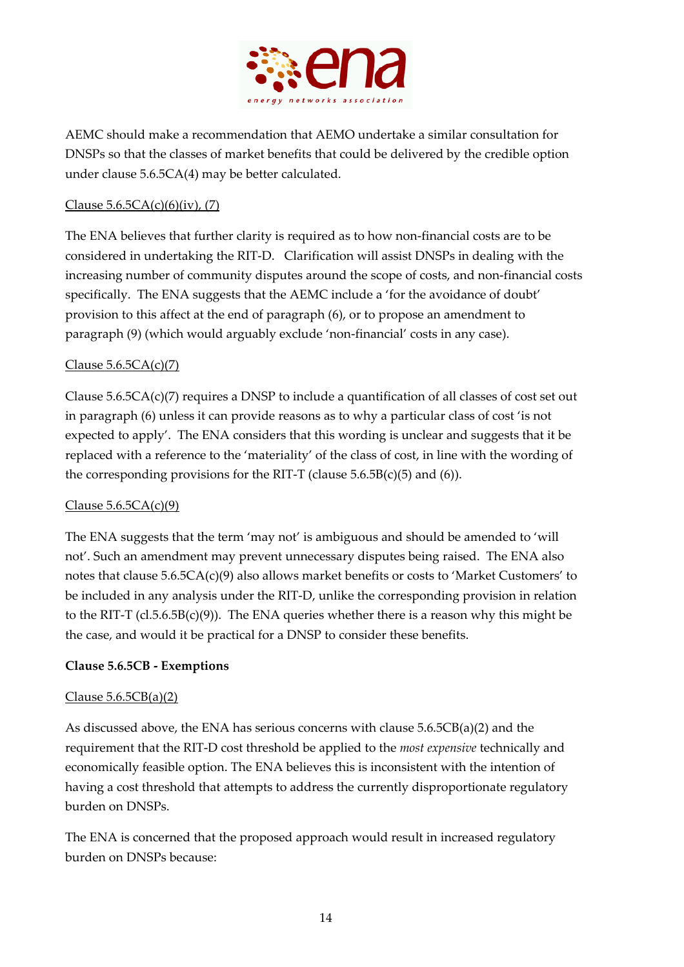

AEMC should make a recommendation that AEMO undertake a similar consultation for DNSPs so that the classes of market benefits that could be delivered by the credible option under clause 5.6.5CA(4) may be better calculated.

# Clause  $5.6.5CA(c)(6)(iv)$ , (7)

The ENA believes that further clarity is required as to how non-financial costs are to be considered in undertaking the RIT‐D. Clarification will assist DNSPs in dealing with the increasing number of community disputes around the scope of costs, and non‐financial costs specifically. The ENA suggests that the AEMC include a 'for the avoidance of doubt' provision to this affect at the end of paragraph (6), or to propose an amendment to paragraph (9) (which would arguably exclude 'non‐financial' costs in any case).

### Clause  $5.6.5CA(c)(7)$

Clause  $5.6.5CA(c)(7)$  requires a DNSP to include a quantification of all classes of cost set out in paragraph (6) unless it can provide reasons as to why a particular class of cost 'is not expected to apply'. The ENA considers that this wording is unclear and suggests that it be replaced with a reference to the 'materiality' of the class of cost, in line with the wording of the corresponding provisions for the RIT-T (clause  $5.6.5B(c)(5)$  and  $(6)$ ).

# Clause  $5.6.5CA(c)(9)$

The ENA suggests that the term 'may not' is ambiguous and should be amended to 'will not'. Such an amendment may prevent unnecessary disputes being raised. The ENA also notes that clause 5.6.5CA(c)(9) also allows market benefits or costs to 'Market Customers' to be included in any analysis under the RIT‐D, unlike the corresponding provision in relation to the RIT-T ( $cl.5.6.5B(c)(9)$ ). The ENA queries whether there is a reason why this might be the case, and would it be practical for a DNSP to consider these benefits.

#### **Clause 5.6.5CB ‐ Exemptions**

#### Clause  $5.6.5CB(a)(2)$

As discussed above, the ENA has serious concerns with clause  $5.6.5CB(a)(2)$  and the requirement that the RIT‐D cost threshold be applied to the *most expensive* technically and economically feasible option. The ENA believes this is inconsistent with the intention of having a cost threshold that attempts to address the currently disproportionate regulatory burden on DNSPs.

The ENA is concerned that the proposed approach would result in increased regulatory burden on DNSPs because: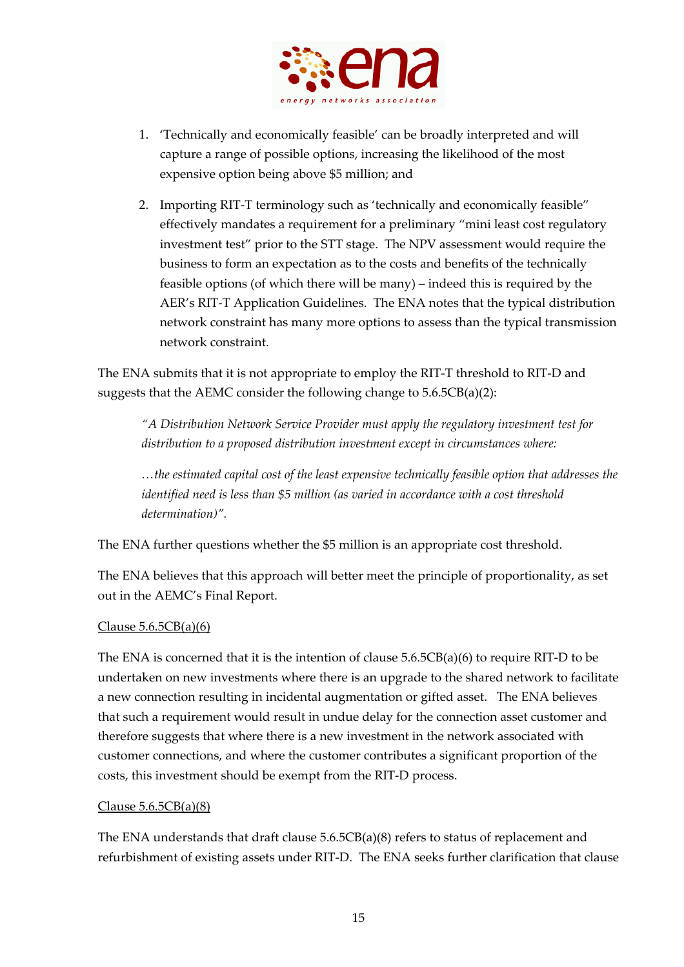

- 1. 'Technically and economically feasible' can be broadly interpreted and will capture a range of possible options, increasing the likelihood of the most expensive option being above \$5 million; and
- 2. Importing RIT‐T terminology such as 'technically and economically feasible" effectively mandates a requirement for a preliminary "mini least cost regulatory investment test" prior to the STT stage. The NPV assessment would require the business to form an expectation as to the costs and benefits of the technically feasible options (of which there will be many) – indeed this is required by the AER's RIT‐T Application Guidelines. The ENA notes that the typical distribution network constraint has many more options to assess than the typical transmission network constraint.

The ENA submits that it is not appropriate to employ the RIT‐T threshold to RIT‐D and suggests that the AEMC consider the following change to 5.6.5CB(a)(2):

*"A Distribution Network Service Provider must apply the regulatory investment test for distribution to a proposed distribution investment except in circumstances where:*

*…the estimated capital cost of the least expensive technically feasible option that addresses the identified need is less than \$5 million (as varied in accordance with a cost threshold determination)".* 

The ENA further questions whether the \$5 million is an appropriate cost threshold.

The ENA believes that this approach will better meet the principle of proportionality, as set out in the AEMC's Final Report.

# Clause  $5.6.5CB(a)(6)$

The ENA is concerned that it is the intention of clause  $5.6.5CB(a)(6)$  to require RIT-D to be undertaken on new investments where there is an upgrade to the shared network to facilitate a new connection resulting in incidental augmentation or gifted asset. The ENA believes that such a requirement would result in undue delay for the connection asset customer and therefore suggests that where there is a new investment in the network associated with customer connections, and where the customer contributes a significant proportion of the costs, this investment should be exempt from the RIT‐D process.

#### Clause 5.6.5CB(a)(8)

The ENA understands that draft clause 5.6.5CB(a)(8) refers to status of replacement and refurbishment of existing assets under RIT‐D. The ENA seeks further clarification that clause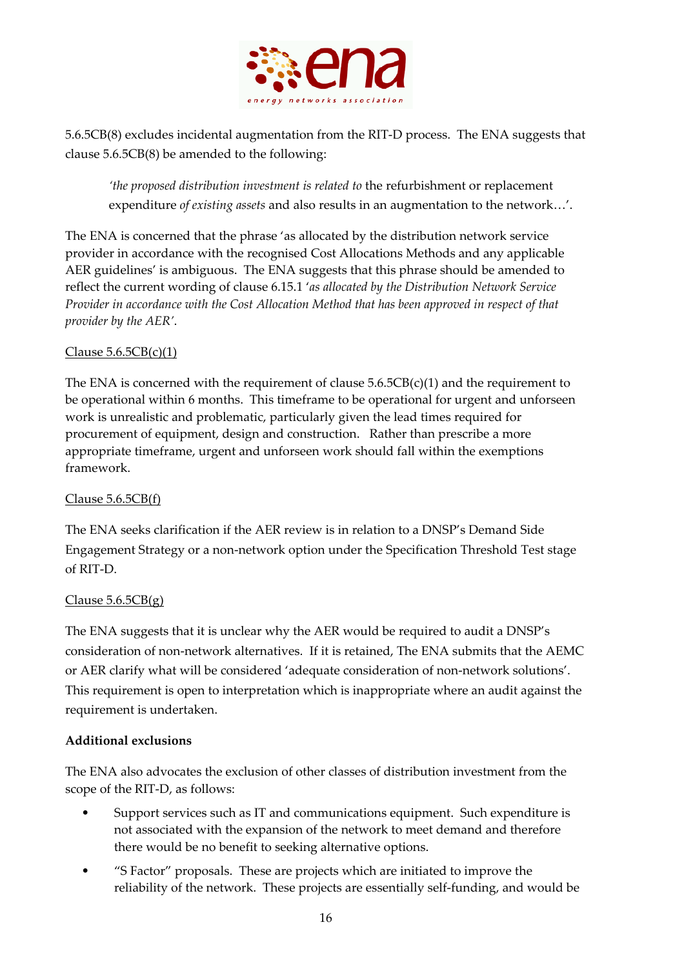

5.6.5CB(8) excludes incidental augmentation from the RIT‐D process. The ENA suggests that clause 5.6.5CB(8) be amended to the following:

*'the proposed distribution investment is related to* the refurbishment or replacement expenditure *of existing assets* and also results in an augmentation to the network…'.

The ENA is concerned that the phrase 'as allocated by the distribution network service provider in accordance with the recognised Cost Allocations Methods and any applicable AER guidelines' is ambiguous. The ENA suggests that this phrase should be amended to reflect the current wording of clause 6.15.1 '*as allocated by the Distribution Network Service Provider in accordance with the Cost Allocation Method that has been approved in respect of that provider by the AER'*.

# Clause  $5.6.5CB(c)(1)$

The ENA is concerned with the requirement of clause  $5.6.5CB(c)(1)$  and the requirement to be operational within 6 months. This timeframe to be operational for urgent and unforseen work is unrealistic and problematic, particularly given the lead times required for procurement of equipment, design and construction. Rather than prescribe a more appropriate timeframe, urgent and unforseen work should fall within the exemptions framework.

# Clause 5.6.5CB(f)

The ENA seeks clarification if the AER review is in relation to a DNSP's Demand Side Engagement Strategy or a non‐network option under the Specification Threshold Test stage of RIT‐D.

# Clause  $5.6.5CB(g)$

The ENA suggests that it is unclear why the AER would be required to audit a DNSP's consideration of non‐network alternatives. If it is retained, The ENA submits that the AEMC or AER clarify what will be considered 'adequate consideration of non‐network solutions'. This requirement is open to interpretation which is inappropriate where an audit against the requirement is undertaken.

# **Additional exclusions**

The ENA also advocates the exclusion of other classes of distribution investment from the scope of the RIT‐D, as follows:

- Support services such as IT and communications equipment. Such expenditure is not associated with the expansion of the network to meet demand and therefore there would be no benefit to seeking alternative options.
- "S Factor" proposals. These are projects which are initiated to improve the reliability of the network. These projects are essentially self-funding, and would be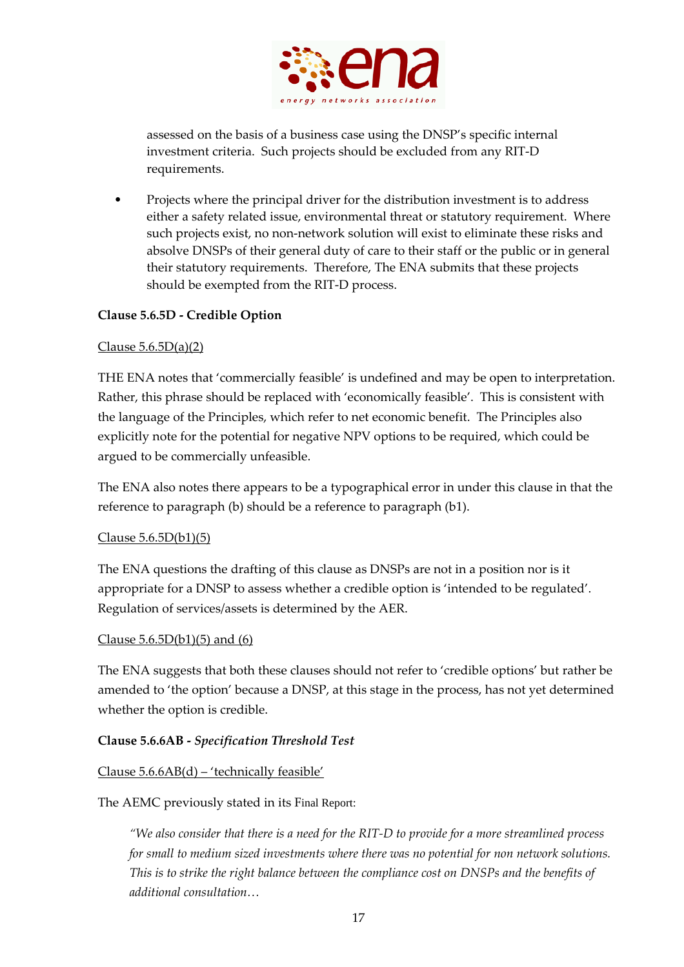

assessed on the basis of a business case using the DNSP's specific internal investment criteria. Such projects should be excluded from any RIT‐D requirements.

• Projects where the principal driver for the distribution investment is to address either a safety related issue, environmental threat or statutory requirement. Where such projects exist, no non‐network solution will exist to eliminate these risks and absolve DNSPs of their general duty of care to their staff or the public or in general their statutory requirements. Therefore, The ENA submits that these projects should be exempted from the RIT‐D process.

### **Clause 5.6.5D ‐ Credible Option**

### Clause 5.6.5D(a)(2)

THE ENA notes that 'commercially feasible' is undefined and may be open to interpretation. Rather, this phrase should be replaced with 'economically feasible'. This is consistent with the language of the Principles, which refer to net economic benefit. The Principles also explicitly note for the potential for negative NPV options to be required, which could be argued to be commercially unfeasible.

The ENA also notes there appears to be a typographical error in under this clause in that the reference to paragraph (b) should be a reference to paragraph (b1).

#### Clause 5.6.5D(b1)(5)

The ENA questions the drafting of this clause as DNSPs are not in a position nor is it appropriate for a DNSP to assess whether a credible option is 'intended to be regulated'. Regulation of services/assets is determined by the AER.

#### Clause  $5.6.5D(b1)(5)$  and  $(6)$

The ENA suggests that both these clauses should not refer to 'credible options' but rather be amended to 'the option' because a DNSP, at this stage in the process, has not yet determined whether the option is credible.

# **Clause 5.6.6AB ‐** *Specification Threshold Test*

#### Clause 5.6.6AB(d) – 'technically feasible'

#### The AEMC previously stated in its Final Report:

"We also consider that there is a need for the RIT-D to provide for a more streamlined process *for small to medium sized investments where there was no potential for non network solutions. This is to strike the right balance between the compliance cost on DNSPs and the benefits of additional consultation…*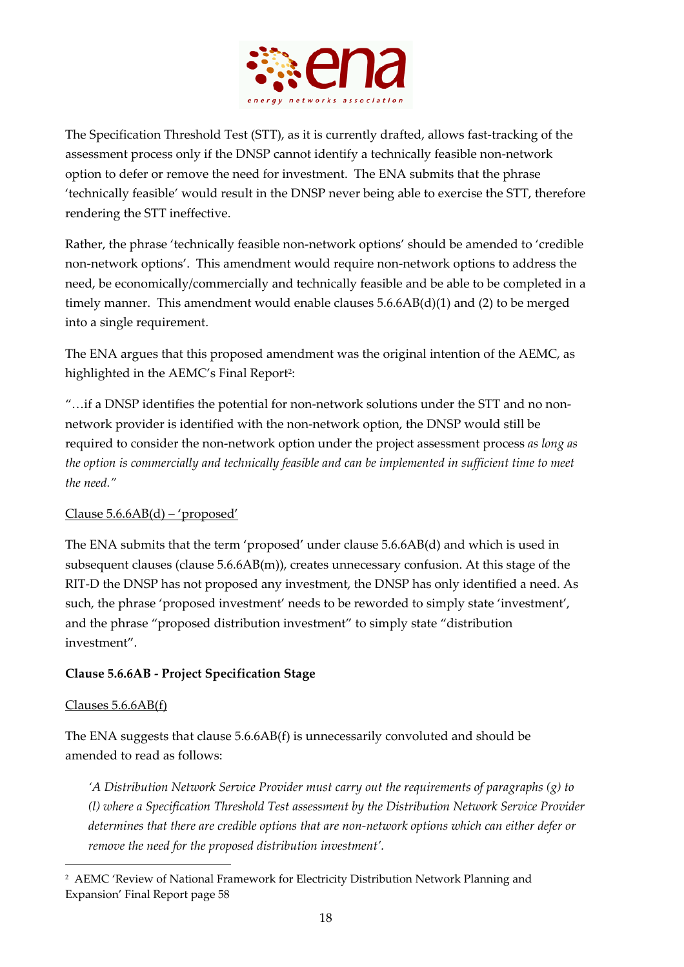

The Specification Threshold Test (STT), as it is currently drafted, allows fast-tracking of the assessment process only if the DNSP cannot identify a technically feasible non‐network option to defer or remove the need for investment. The ENA submits that the phrase 'technically feasible' would result in the DNSP never being able to exercise the STT, therefore rendering the STT ineffective.

Rather, the phrase 'technically feasible non‐network options' should be amended to 'credible non‐network options'. This amendment would require non‐network options to address the need, be economically/commercially and technically feasible and be able to be completed in a timely manner. This amendment would enable clauses  $5.6.6AB(d)(1)$  and (2) to be merged into a single requirement.

The ENA argues that this proposed amendment was the original intention of the AEMC, as highlighted in the AEMC's Final Report<sup>2</sup>:

"…if a DNSP identifies the potential for non‐network solutions under the STT and no non‐ network provider is identified with the non‐network option, the DNSP would still be required to consider the non‐network option under the project assessment process *as long as the option is commercially and technically feasible and can be implemented in sufficient time to meet the need."* 

# Clause 5.6.6AB(d) – 'proposed'

The ENA submits that the term 'proposed' under clause 5.6.6AB(d) and which is used in subsequent clauses (clause 5.6.6AB(m)), creates unnecessary confusion. At this stage of the RIT‐D the DNSP has not proposed any investment, the DNSP has only identified a need. As such, the phrase 'proposed investment' needs to be reworded to simply state 'investment', and the phrase "proposed distribution investment" to simply state "distribution investment".

# **Clause 5.6.6AB ‐ Project Specification Stage**

# Clauses 5.6.6AB(f)

<u> 1989 - Johann Barn, mars ar breithinn ar chuid ann an t-</u>

The ENA suggests that clause 5.6.6AB(f) is unnecessarily convoluted and should be amended to read as follows:

*'A Distribution Network Service Provider must carry out the requirements of paragraphs (g) to (l) where a Specification Threshold Test assessment by the Distribution Network Service Provider determines that there are credible options that are non‐network options which can either defer or remove the need for the proposed distribution investment'.* 

<sup>2</sup> AEMC 'Review of National Framework for Electricity Distribution Network Planning and Expansion' Final Report page 58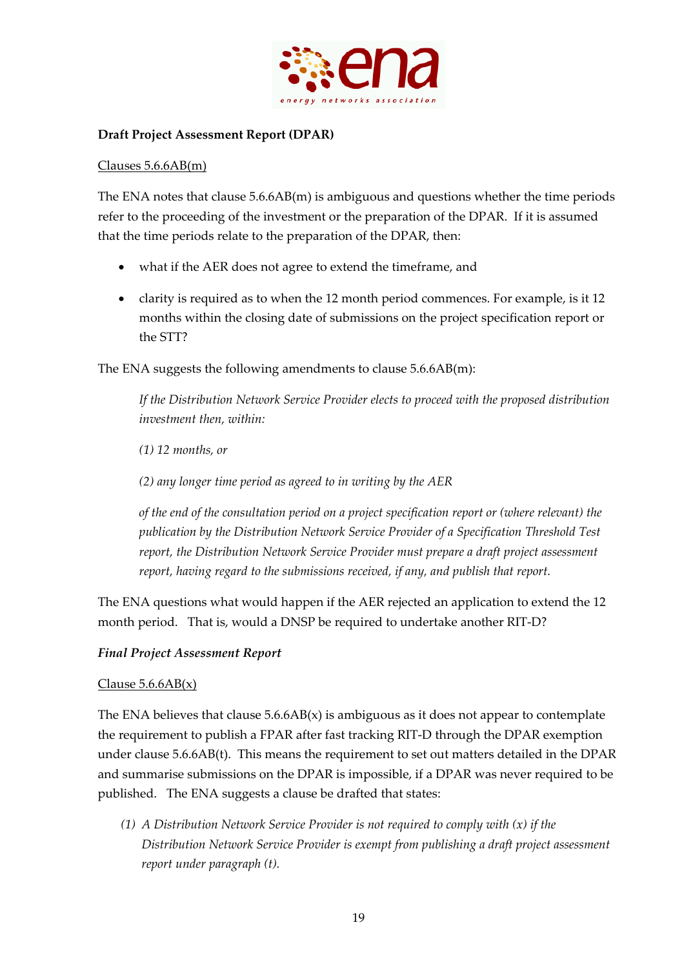

### **Draft Project Assessment Report (DPAR)**

#### Clauses 5.6.6AB(m)

The ENA notes that clause 5.6.6AB(m) is ambiguous and questions whether the time periods refer to the proceeding of the investment or the preparation of the DPAR. If it is assumed that the time periods relate to the preparation of the DPAR, then:

- what if the AER does not agree to extend the timeframe, and
- clarity is required as to when the 12 month period commences. For example, is it 12 months within the closing date of submissions on the project specification report or the STT?

The ENA suggests the following amendments to clause 5.6.6AB(m):

*If the Distribution Network Service Provider elects to proceed with the proposed distribution investment then, within:* 

*(1) 12 months, or* 

*(2) any longer time period as agreed to in writing by the AER* 

*of the end of the consultation period on a project specification report or (where relevant) the publication by the Distribution Network Service Provider of a Specification Threshold Test report, the Distribution Network Service Provider must prepare a draft project assessment report, having regard to the submissions received, if any, and publish that report.* 

The ENA questions what would happen if the AER rejected an application to extend the 12 month period. That is, would a DNSP be required to undertake another RIT-D?

#### *Final Project Assessment Report*

#### Clause  $5.6.6AB(x)$

The ENA believes that clause  $5.6.6AB(x)$  is ambiguous as it does not appear to contemplate the requirement to publish a FPAR after fast tracking RIT‐D through the DPAR exemption under clause 5.6.6AB(t). This means the requirement to set out matters detailed in the DPAR and summarise submissions on the DPAR is impossible, if a DPAR was never required to be published. The ENA suggests a clause be drafted that states:

*(1) A Distribution Network Service Provider is not required to comply with (x) if the Distribution Network Service Provider is exempt from publishing a draft project assessment report under paragraph (t).*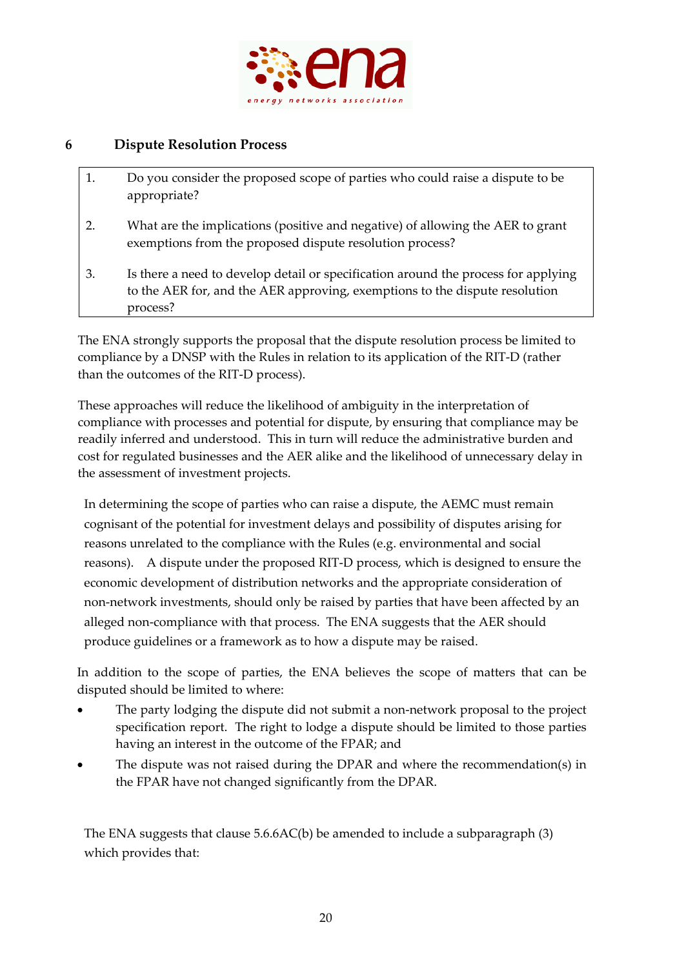

# **6 Dispute Resolution Process**

- 1. Do you consider the proposed scope of parties who could raise a dispute to be appropriate?
- 2. What are the implications (positive and negative) of allowing the AER to grant exemptions from the proposed dispute resolution process?
- 3. Is there a need to develop detail or specification around the process for applying to the AER for, and the AER approving, exemptions to the dispute resolution process?

The ENA strongly supports the proposal that the dispute resolution process be limited to compliance by a DNSP with the Rules in relation to its application of the RIT‐D (rather than the outcomes of the RIT‐D process).

These approaches will reduce the likelihood of ambiguity in the interpretation of compliance with processes and potential for dispute, by ensuring that compliance may be readily inferred and understood. This in turn will reduce the administrative burden and cost for regulated businesses and the AER alike and the likelihood of unnecessary delay in the assessment of investment projects.

In determining the scope of parties who can raise a dispute, the AEMC must remain cognisant of the potential for investment delays and possibility of disputes arising for reasons unrelated to the compliance with the Rules (e.g. environmental and social reasons). A dispute under the proposed RIT-D process, which is designed to ensure the economic development of distribution networks and the appropriate consideration of non‐network investments, should only be raised by parties that have been affected by an alleged non‐compliance with that process. The ENA suggests that the AER should produce guidelines or a framework as to how a dispute may be raised.

In addition to the scope of parties, the ENA believes the scope of matters that can be disputed should be limited to where:

- The party lodging the dispute did not submit a non‐network proposal to the project specification report. The right to lodge a dispute should be limited to those parties having an interest in the outcome of the FPAR; and
- The dispute was not raised during the DPAR and where the recommendation(s) in the FPAR have not changed significantly from the DPAR.

The ENA suggests that clause 5.6.6AC(b) be amended to include a subparagraph (3) which provides that: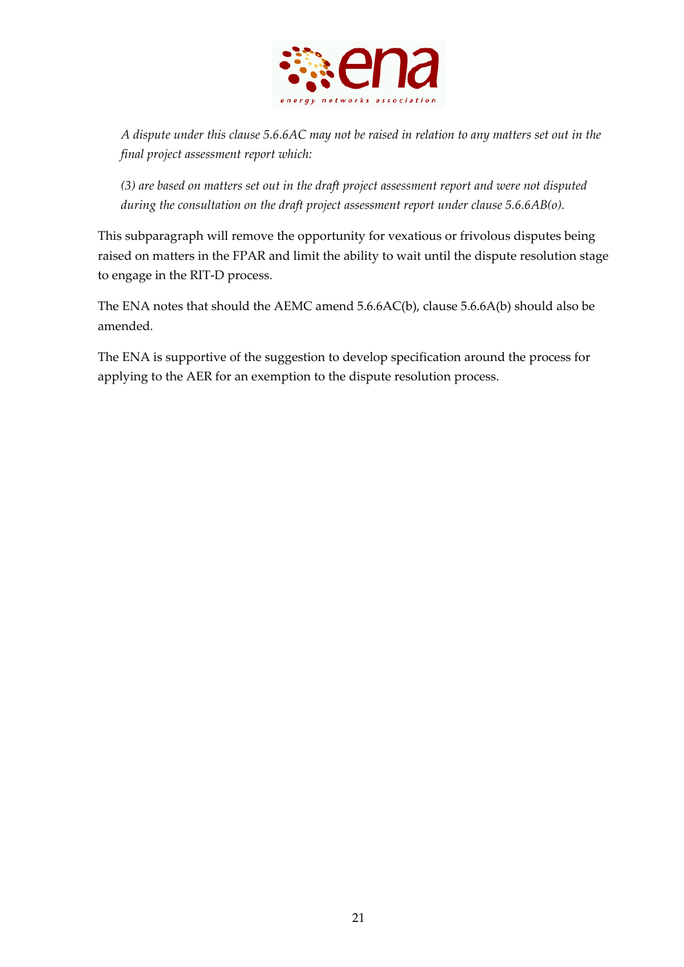

A dispute under this clause 5.6.6AC may not be raised in relation to any matters set out in the *final project assessment report which:*

*(3) are based on matters set out in the draft project assessment report and were not disputed during the consultation on the draft project assessment report under clause 5.6.6AB(o).*

This subparagraph will remove the opportunity for vexatious or frivolous disputes being raised on matters in the FPAR and limit the ability to wait until the dispute resolution stage to engage in the RIT‐D process.

The ENA notes that should the AEMC amend 5.6.6AC(b), clause 5.6.6A(b) should also be amended*.*

The ENA is supportive of the suggestion to develop specification around the process for applying to the AER for an exemption to the dispute resolution process.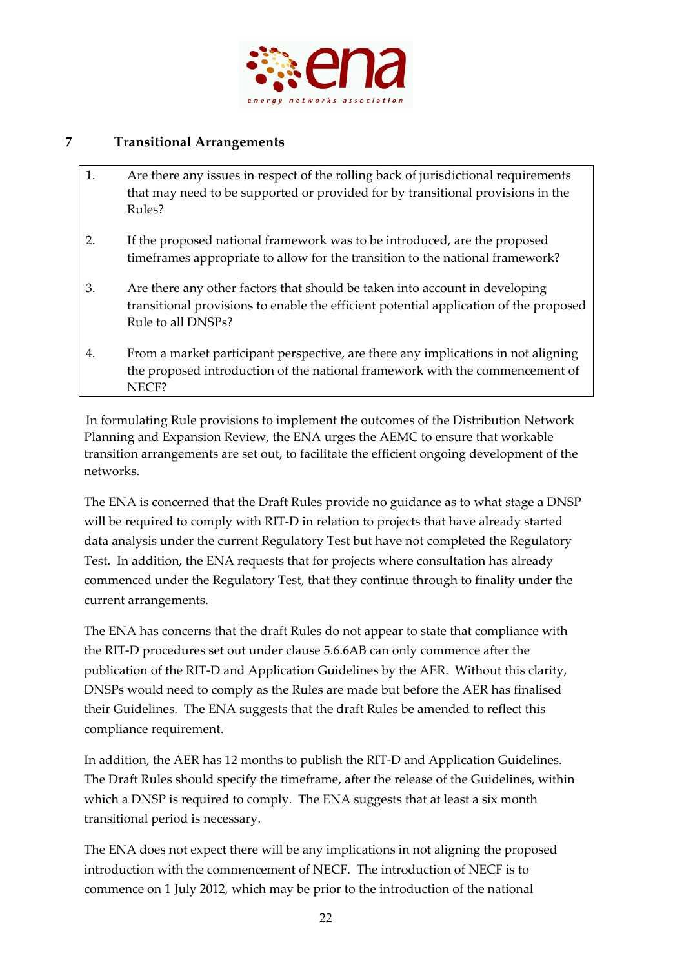

# **7 Transitional Arrangements**

- 1. Are there any issues in respect of the rolling back of jurisdictional requirements that may need to be supported or provided for by transitional provisions in the Rules?
- 2. If the proposed national framework was to be introduced, are the proposed timeframes appropriate to allow for the transition to the national framework?
- 3. Are there any other factors that should be taken into account in developing transitional provisions to enable the efficient potential application of the proposed Rule to all DNSPs?
- 4. From a market participant perspective, are there any implications in not aligning the proposed introduction of the national framework with the commencement of NECF?

In formulating Rule provisions to implement the outcomes of the Distribution Network Planning and Expansion Review, the ENA urges the AEMC to ensure that workable transition arrangements are set out, to facilitate the efficient ongoing development of the networks.

The ENA is concerned that the Draft Rules provide no guidance as to what stage a DNSP will be required to comply with RIT-D in relation to projects that have already started data analysis under the current Regulatory Test but have not completed the Regulatory Test. In addition, the ENA requests that for projects where consultation has already commenced under the Regulatory Test, that they continue through to finality under the current arrangements.

The ENA has concerns that the draft Rules do not appear to state that compliance with the RIT‐D procedures set out under clause 5.6.6AB can only commence after the publication of the RIT‐D and Application Guidelines by the AER. Without this clarity, DNSPs would need to comply as the Rules are made but before the AER has finalised their Guidelines. The ENA suggests that the draft Rules be amended to reflect this compliance requirement.

In addition, the AER has 12 months to publish the RIT‐D and Application Guidelines. The Draft Rules should specify the timeframe, after the release of the Guidelines, within which a DNSP is required to comply. The ENA suggests that at least a six month transitional period is necessary.

The ENA does not expect there will be any implications in not aligning the proposed introduction with the commencement of NECF. The introduction of NECF is to commence on 1 July 2012, which may be prior to the introduction of the national